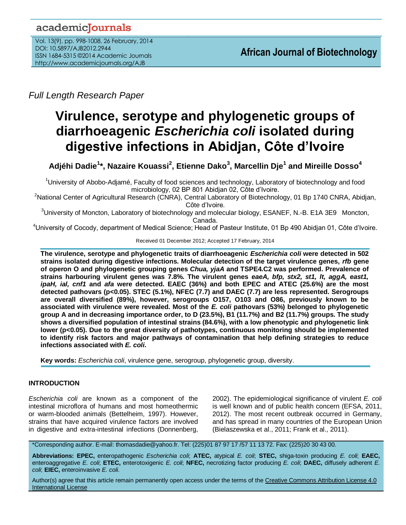# academicJournals

Vol. 13(9), pp. 998-1008, 26 February, 2014 DOI: 10.5897/AJB2012.2944 ISSN 1684-5315 ©2014 Academic Journals http://www.academicjournals.org/AJB

*Full Length Research Paper*

# **Virulence, serotype and phylogenetic groups of diarrhoeagenic** *Escherichia coli* **isolated during digestive infections in Abidjan, Côte d'Ivoire**

**Adjéhi Dadie<sup>1</sup> \*, Nazaire Kouassi<sup>2</sup> , Etienne Dako<sup>3</sup> , Marcellin Dje<sup>1</sup> and Mireille Dosso<sup>4</sup>**

<sup>1</sup>University of Abobo-Adjamé, Faculty of food sciences and technology, Laboratory of biotechnology and food microbiology, 02 BP 801 Abidjan 02, Côte d'Ivoire.

<sup>2</sup>National Center of Agricultural Research (CNRA), Central Laboratory of Biotechnology, 01 Bp 1740 CNRA, Abidjan, Côte d'Ivoire.

 $3$ University of Moncton, Laboratory of biotechnology and molecular biology, ESANEF, N.-B. E1A 3E9 Moncton, Canada.

<sup>4</sup>University of Cocody, department of Medical Science; Head of Pasteur Institute, 01 Bp 490 Abidjan 01, Côte d'Ivoire.

Received 01 December 2012; Accepted 17 February, 2014

**The virulence, serotype and phylogenetic traits of diarrhoeagenic** *Escherichia coli* **were detected in 502 strains isolated during digestive infections. Molecular detection of the target virulence genes,** *rfb* **gene of operon O and phylogenetic grouping genes** *Chua, yjaA* **and TSPE4.C2 was performed. Prevalence of strains harbouring virulent genes was 7.8%. The virulent genes** *eaeA, bfp, stx2, st1, lt, aggA, east1, ipaH, ial, cnf1* **and** *afa* **were detected. EAEC (36%) and both EPEC and ATEC (25.6%) are the most detected pathovars (p<0.05). STEC (5.1%), NFEC (7.7) and DAEC (7.7) are less represented. Serogroups are overall diversified (89%), however, serogroups O157, O103 and O86, previously known to be associated with virulence were revealed. Most of the** *E. coli* **pathovars (53%) belonged to phylogenetic group A and in decreasing importance order, to D (23.5%), B1 (11.7%) and B2 (11.7%) groups. The study shows a diversified population of intestinal strains (84.6%), with a low phenotypic and phylogenetic link lower (p<0.05). Due to the great diversity of pathotypes, continuous monitoring should be implemented to identify risk factors and major pathways of contamination that help defining strategies to reduce infections associated with** *E. coli***.**

**Key words:** *Escherichia coli*, virulence gene, serogroup, phylogenetic group, diversity.

# **INTRODUCTION**

*Escherichia coli* are known as a component of the intestinal microflora of humans and most homeothermic or warm-blooded animals (Bettelheim, 1997). However, strains that have acquired virulence factors are involved in digestive and extra-intestinal infections (Donnenberg, 2002). The epidemiological significance of virulent *E. coli* is well known and of public health concern (EFSA, 2011, 2012). The most recent outbreak occurred in Germany, and has spread in many countries of the European Union (Bielaszewska et al., 2011; Frank et al., 2011).

\*Corresponding author. E-mail: thomasdadie@yahoo.fr. Tel: (225)01 87 97 17 /57 11 13 72. Fax: (225)20 30 43 00.

**Abbreviations: EPEC,** enteropathogenic *Escherichia coli*; **ATEC,** atypical *E. coli*; **STEC,** shiga-toxin producing *E. coli*; **EAEC,** enteroaggregative *E. coli*; **ETEC,** enterotoxigenic *E. coli*; **NFEC,** necrotizing factor producing *E. coli*; **DAEC,** diffusely adherent *E. coli*; **EIEC,** enteroinvasive *E. coli*.

Author(s) agree that this article remain permanently open access under the terms of the Creative Commons Attribution License 4.0 [International License](http://creativecommons.org/licenses/by/4.0/deed.en_US)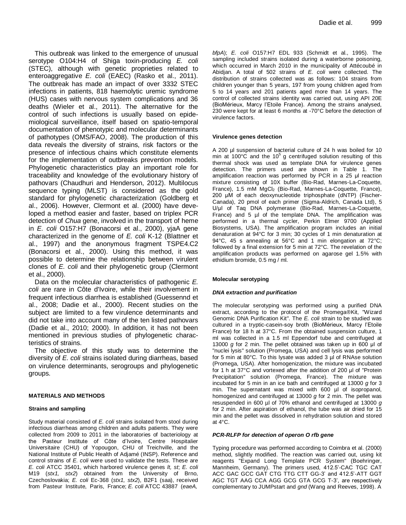This outbreak was linked to the emergence of unusual serotype O104:H4 of Shiga toxin-producing *E. coli* (STEC), although with genetic proprieties related to enteroaggregative *E. coli* (EAEC) (Rasko et al., 2011). The outbreak has made an impact of over 3332 STEC infections in patients, 818 haemolytic uremic syndrome (HUS) cases with nervous system complications and 36 deaths (Wieler et al., 2011). The alternative for the control of such infections is usually based on epidemiological surveillance, itself based on spatio-temporal documentation of phenotypic and molecular determinants of pathotypes (OMS/FAO, 2008). The production of this data reveals the diversity of strains, risk factors or the presence of infectious chains which constitute elements for the implementation of outbreaks prevention models. Phylogenetic characteristics play an important role for traceability and knowledge of the evolutionary history of pathovars (Chaudhuri and Henderson, 2012). Multilocus sequence typing (MLST) is considered as the gold standard for phylogenetic characterization (Goldberg et al., 2006). However, Clermont et al. (2000) have developed a method easier and faster, based on triplex PCR detection of *Chua* gene, involved in the transport of heme in *E. coli* O157:H7 (Bonacorsi et al., 2000), yjaA gene characterized in the genome of *E. coli* K-12 (Blattner et al., 1997) and the anonymous fragment TSPE4.C2 (Bonacorsi et al., 2000). Using this method, it was possible to determine the relationship between virulent clones of *E. coli* and their phylogenetic group (Clermont et al., 2000).

Data on the molecular characteristics of pathogenic *E. coli* are rare in Côte d'Ivoire, while their involvement in frequent infectious diarrhea is established (Guessennd et al., 2008; Dadie et al., 2000). Recent studies on the subject are limited to a few virulence determinants and did not take into account many of the ten listed pathovars (Dadie et al., 2010; 2000). In addition, it has not been mentioned in previous studies of phylogenetic characteristics of strains.

The objective of this study was to determine the diversity of *E. coli* strains isolated during diarrheas, based on virulence determinants, serogroups and phylogenetic groups.

#### **MATERIALS AND METHODS**

#### **Strains and sampling**

Study material consisted of *E. coli* strains isolated from stool during infectious diarrheas among children and adults patients. They were collected from 2009 to 2011 in the laboratories of bacteriology at the Pasteur Institute of Côte d'Ivoire, Centre Hospitalier Universitaire (CHU) of Yopougon, CHU of Treichville, and the National Institute of Public Health of Adjamé (INSP). Reference and control strains of *E. coli* were used to validate the tests. These are *E. coli* ATCC 35401, which harbored virulence genes *lt, st*; *E. coli* M19 (*stx1, stx2*) obtained from the University of Brno, Czechoslovakia; *E. coli* Ec-368 (*stx1, stx2*), B2F1 (saa), received from Pasteur Institute, Paris, France; *E. coli* ATCC 43887 (*eaeA,* 

*bfpA*); *E. coli* O157:H7 EDL 933 (Schmidt et al., 1995). The sampling included strains isolated during a waterborne poisoning, which occurred in March 2010 in the municipality of Attécoubé in Abidjan. A total of 502 strains of *E. coli* were collected. The distribution of strains collected was as follows: 104 strains from children younger than 5 years, 197 from young children aged from 5 to 14 years and 201 patients aged more than 14 years. The control of collected strains identity was carried out, using API 20E (BioMérieux, Marcy l'Etoile France). Among the strains analysed, 230 were kept for at least 6 months at -70°C before the detection of virulence factors.

#### **Virulence genes detection**

A 200 µl suspension of bacterial culture of 24 h was boiled for 10 min at 100 $\degree$ C and the 10<sup>5</sup> g centrifuged solution resulting of this thermal shock was used as template DNA for virulence genes detection. The primers used are shown in Table 1. The amplification reaction was performed by PCR in a 25 μl reaction mixture consisting of 10X buffer (Bio-Rad, Marnes-La-Coquette, France), 1.5 mM MgCl<sub>2</sub> (Bio-Rad, Marnes-La-Coquette, France), 200 μM of each deoxynucleotide triphosphate (dNTP) (Fischer-Canada), 20 pmol of each primer (Sigma-Aldrich, Canada Ltd), 5 U/μl of Taq DNA polymerase (Bio-Rad, Marnes-La-Coquette, France) and 5 µl of the template DNA. The amplification was performed in a thermal cycler, Perkin Elmer 9700 (Applied Biosystems, USA). The amplification program includes an initial denaturation at 94°C for 3 min; 30 cycles of 1 min denaturation at 94°C, 45 s annealing at 56°C and 1 min elongation at 72°C; followed by a final extension for 5 min at 72°C. The revelation of the amplification products was performed on agarose gel 1.5% with ethidium bromide, 0.5 mg / ml.

#### **Molecular serotyping**

#### *DNA extraction and purification*

The molecular serotyping was performed using a purified DNA extract, according to the protocol of the Promega®Kit, "Wizard Genomic DNA Purification Kit". The *E. coli* strain to be studied was cultured in a tryptic-casein-soy broth (BioMérieux, Marcy l'Etoile France) for 18 h at 37°C. From the obtained suspension culture, 1 ml was collected in a 1.5 ml Eppendorf tube and centrifuged at 13000 *g* for 2 min. The pellet obtained was taken up in 600 μl of "nuclei lysis" solution (Promega, USA) and cell lysis was performed for 5 min at 80°C. To this lysate was added 3 µl of RNAse solution (Promega, USA). After homogenization, the mixture was incubated for 1 h at 37°C and vortexed after the addition of 200 μl of "Protein Precipitation" solution (Promega, France). The mixture was incubated for 5 min in an ice bath and centrifuged at 13000 *g* for 3 min. The supernatant was mixed with 600 µl of isopropanol, homogenized and centrifuged at 13000 *g* for 2 min. The pellet was resuspended in 600 µl of 70% ethanol and centrifuged at 13000 *g* for 2 min. After aspiration of ethanol, the tube was air dried for 15 min and the pellet was dissolved in rehydration solution and stored at 4°C.

#### *PCR-RLFP for detection of operon O rfb gene*

Typing procedure was performed according to Coimbra et al. (2000) method, slightly modified. The reaction was carried out, using kit reagents "Expand Long Template PCR System" (Boehringer, Mannheim, Germany). The primers used, 412.5'-CAC TGC CAT ACC GAC GCC GAT CTG TTG CTT GG-3' and 412.5'-ATT GGT AGC TGT AAG CCA AGG GCG GTA GCG T-3', are respectively complementary to JUMPstart and *gnd* (Wang and Reeves, 1998). A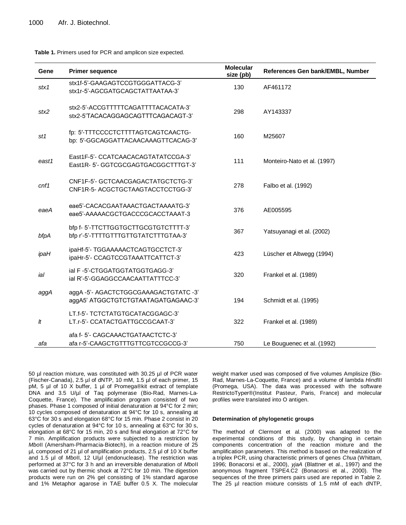#### **Table 1.** Primers used for PCR and amplicon size expected.

| Gene             | <b>Primer sequence</b>                                                       | <b>Molecular</b><br>size (pb) | References Gen bank/EMBL, Number |
|------------------|------------------------------------------------------------------------------|-------------------------------|----------------------------------|
| stx1             | stx1f-5'-GAAGAGTCCGTGGGATTACG-3'<br>stx1r-5'-AGCGATGCAGCTATTAATAA-3'         | 130                           | AF461172                         |
| stx2             | stx2-5'-ACCGTTTTTCAGATTTTACACATA-3'<br>stx2-5'TACACAGGAGCAGTTTCAGACAGT-3'    | 298                           | AY143337                         |
| st1              | fp: 5'-TTTCCCCTCTTTTAGTCAGTCAACTG-<br>bp: 5'-GGCAGGATTACAACAAAGTTCACAG-3'    | 160                           | M25607                           |
| east1            | East1F-5'- CCATCAACACAGTATATCCGA-3'<br>East1R-5'-GGTCGCGAGTGACGGCTTTGT-3'    | 111                           | Monteiro-Nato et al. (1997)      |
| cnf1             | CNF1F-5'- GCTCAACGAGACTATGCTCTG-3'<br>CNF1R-5-ACGCTGCTAAGTACCTCCTGG-3'       | 278                           | Falbo et al. (1992)              |
| eaeA             | eae5'-CACACGAATAAACTGACTAAAATG-3'<br>eae5'-AAAAACGCTGACCCGCACCTAAAT-3        | 376                           | AE005595                         |
| bfpA             | bfp f- 5'-TTCTTGGTGCTTGCGTGTCTTTT-3'<br>bfp r'-5'-TTTTGTTTGTTGTATCTTTGTAA-3' | 367                           | Yatsuyanagi et al. (2002)        |
| ipaH             | ipaHf-5'- TGGAAAAACTCAGTGCCTCT-3'<br>ipaHr-5'- CCAGTCCGTAAATTCATTCT-3'       | 423                           | Lüscher et Altwegg (1994)        |
| ial              | ial F-5'-CTGGATGGTATGGTGAGG-3'<br>ial R'-5'-GGAGGCCAACAATTATTTCC-3'          | 320                           | Frankel et al. (1989)            |
| aggA             | aggA-5'-AGACTCTGGCGAAAGACTGTATC-3'<br>aggA5' ATGGCTGTCTGTAATAGATGAGAAC-3'    | 194                           | Schmidt et al. (1995)            |
| $\boldsymbol{H}$ | LT.f-5'- TCTCTATGTGCATACGGAGC-3'<br>LT.r-5'- CCATACTGATTGCCGCAAT-3'          | 322                           | Frankel et al. (1989)            |
| afa              | afa f- 5'- CAGCAAACTGATAACTCTC-3'<br>afa r-5'-CAAGCTGTTTGTTCGTCCGCCG-3'      | 750                           | Le Bouguenec et al. (1992)       |

50 µl reaction mixture, was constituted with 30.25 µl of PCR water (Fischer-Canada), 2.5 µl of dNTP, 10 mM, 1.5 µl of each primer, 15 pM, 5 µl of 10 X buffer, 1 µl of Promega®kit extract of template DNA and 3.5 U/µl of Taq polymerase (Bio-Rad, Marnes-La-Coquette, France). The amplification program consisted of two phases. Phase 1 composed of initial denaturation at 94°C for 2 min; 10 cycles composed of denaturation at 94°C for 10 s, annealing at 63°C for 30 s and elongation 68°C for 15 min. Phase 2 consist in 20 cycles of denaturation at 94°C for 10 s, annealing at 63°C for 30 s, elongation at 68°C for 15 min, 20 s and final elongation at 72°C for 7 min. Amplification products were subjected to a restriction by *Mbo*II (Amersham-Pharmacia-Biotech), in a reaction mixture of 25 µl, composed of 21 µl of amplification products, 2.5 µl of 10 X buffer and 1.5 µl of *Mbo*ll, 12 U/µl (endonuclease). The restriction was performed at 37°C for 3 h and an irreversible denaturation of *Mbo*II was carried out by thermic shock at 72°C for 10 min. The digestion products were run on 2% gel consisting of 1% standard agarose and 1% Metaphor agarose in TAE buffer 0.5 X. The molecular

weight marker used was composed of five volumes Amplisize (Bio-Rad, Marnes-La-Coquette, France) and a volume of lambda *Hind*III (Promega, USA). The data was processed with the software RestrictoTyper®(Institut Pasteur, Paris, France) and molecular profiles were translated into O antigen.

#### **Determination of phylogenetic groups**

The method of Clermont et al. (2000) was adapted to the experimental conditions of this study, by changing in certain components concentration of the reaction mixture and the amplification parameters. This method is based on the realization of a triplex PCR, using characteristic primers of genes *Chua* (Whittam, 1996; Bonacorsi et al., 2000), *yjaA* (Blattner et al., 1997) and the anonymous fragment TSPE4.C2 (Bonacorsi et al., 2000). The sequences of the three primers pairs used are reported in Table 2. The 25 µl reaction mixture consists of 1.5 mM of each dNTP,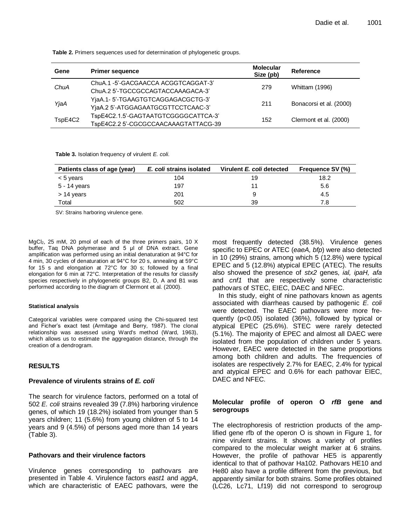| Gene    | <b>Primer sequence</b>               | <b>Molecular</b><br>Size (pb) | Reference               |  |
|---------|--------------------------------------|-------------------------------|-------------------------|--|
|         | ChuA.1-5'-GACGAACCA ACGGTCAGGAT-3'   |                               |                         |  |
| ChuA    | ChuA.2 5'-TGCCGCCAGTACCAAAGACA-3'    | 279                           | <b>Whittam (1996)</b>   |  |
|         | YjaA.1- 5'-TGAAGTGTCAGGAGACGCTG-3'   |                               |                         |  |
| YjaA    | YjaA.2 5'-ATGGAGAATGCGTTCCTCAAC-3'   | 211                           | Bonacorsi et al. (2000) |  |
|         | TspE4C2.1.5'-GAGTAATGTCGGGGCATTCA-3' | 152                           |                         |  |
| TspE4C2 | TspE4C2.2 5'-CGCGCCAACAAAGTATTACG-39 |                               | Clermont et al. (2000)  |  |

**Table 2.** Primers sequences used for determination of phylogenetic groups.

**Table 3.** Isolation frequency of virulent *E. coli.*

| Patients class of age (year) | E. coli strains isolated | Virulent E. coli detected | <b>Frequence SV (%)</b> |  |
|------------------------------|--------------------------|---------------------------|-------------------------|--|
| $< 5$ years                  | 104                      | 19                        | 18.2                    |  |
| 5 - 14 years                 | 197                      |                           | 5.6                     |  |
| $> 14$ years                 | 201                      | 9                         | 4.5                     |  |
| Total                        | 502                      | 39                        | 7.8                     |  |

SV: Strains harboring virulence gene.

MgCl<sub>2</sub>, 25 mM, 20 pmol of each of the three primers pairs, 10 X buffer, Taq DNA polymerase and 5 μl of DNA extract. Gene amplification was performed using an initial denaturation at 94°C for 4 min, 30 cycles of denaturation at 94°C for 20 s, annealing at 59°C for 15 s and elongation at 72°C for 30 s; followed by a final elongation for 6 min at 72°C. Interpretation of the results for classify species respectively in phylogenetic groups B2, D, A and B1 was performed according to the diagram of Clermont et al. (2000).

#### **Statistical analysis**

Categorical variables were compared using the Chi-squared test and Ficher's exact test (Armitage and Berry, 1987). The clonal relationship was assessed using Ward's method (Ward, 1963), which allows us to estimate the aggregation distance, through the creation of a dendrogram.

# **RESULTS**

# **Prevalence of virulents strains of** *E. coli*

The search for virulence factors, performed on a total of 502 *E. coli* strains revealed 39 (7.8%) harboring virulence genes, of which 19 (18.2%) isolated from younger than 5 years children; 11 (5.6%) from young children of 5 to 14 years and 9 (4.5%) of persons aged more than 14 years (Table 3).

# **Pathovars and their virulence factors**

Virulence genes corresponding to pathovars are presented in Table 4. Virulence factors *east1* and *aggA*, which are characteristic of EAEC pathovars, were the most frequently detected (38.5%). Virulence genes specific to EPEC or ATEC (*eaeA, bfp*) were also detected in 10 (29%) strains, among which 5 (12.8%) were typical EPEC and 5 (12.8%) atypical EPEC (ATEC). The results also showed the presence of *stx2* genes, *ial, ipaH, afa* and *cnf1* that are respectively some characteristic pathovars of STEC, EIEC, DAEC and NFEC.

In this study, eight of nine pathovars known as agents associated with diarrheas caused by pathogenic *E. coli*  were detected. The EAEC pathovars were more frequently (p<0.05) isolated (36%), followed by typical or atypical EPEC (25.6%). STEC were rarely detected (5.1%). The majority of EPEC and almost all DAEC were isolated from the population of children under 5 years. However, EAEC were detected in the same proportions among both children and adults. The frequencies of isolates are respectively 2.7% for EAEC, 2.4% for typical and atypical EPEC and 0.6% for each pathovar EIEC, DAEC and NFEC.

# **Molecular profile of operon O** *rfB* **gene and serogroups**

The electrophoresis of restriction products of the amplified gene rfb of the operon O is shown in Figure 1, for nine virulent strains. It shows a variety of profiles compared to the molecular weight marker at 6 strains. However, the profile of pathovar HE5 is apparently identical to that of pathovar Ha102. Pathovars HE10 and He80 also have a profile different from the previous, but apparently similar for both strains. Some profiles obtained (LC26, Lc71, Lf19) did not correspond to serogroup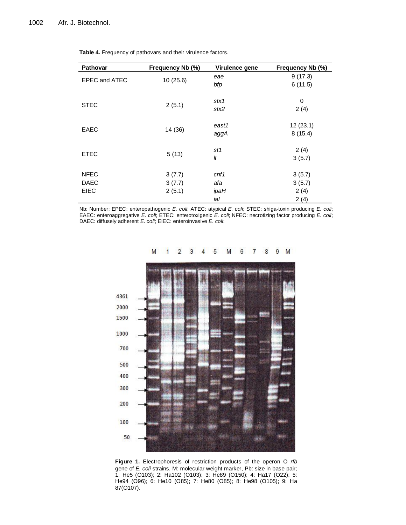| Pathovar             | Frequency Nb (%) | Virulence gene | Frequency Nb (%) |
|----------------------|------------------|----------------|------------------|
| <b>EPEC and ATEC</b> | 10(25.6)         | eae            | 9(17.3)          |
|                      |                  | bfp            | 6(11.5)          |
|                      |                  |                |                  |
| <b>STEC</b>          | 2(5.1)           | stx1           | 0                |
|                      |                  | stx2           | 2(4)             |
|                      |                  | east1          | 12(23.1)         |
| <b>EAEC</b>          | 14 (36)          |                |                  |
|                      |                  | aggA           | 8(15.4)          |
|                      |                  | st1            | 2(4)             |
| <b>ETEC</b>          | 5(13)            | It             | 3(5.7)           |
|                      |                  |                |                  |
| <b>NFEC</b>          | 3(7.7)           | cnf1           | 3(5.7)           |
| <b>DAEC</b>          | 3(7.7)           | afa            | 3(5.7)           |
| <b>EIEC</b>          | 2(5.1)           | ipaH           | 2(4)             |
|                      |                  | ial            | 2(4)             |

**Table 4.** Frequency of pathovars and their virulence factors.

Nb: Number; EPEC: enteropathogenic *E. coli*; ATEC: atypical *E. coli*; STEC: shiga-toxin producing *E. coli*; EAEC: enteroaggregative *E. coli*; ETEC: enterotoxigenic *E. coli*; NFEC: necrotizing factor producing *E. coli*; DAEC: diffusely adherent *E. coli*; EIEC: enteroinvasive *E. coli*:



#### **Figure 1.** Electrophoresis of restriction products of the operon O *rfb* gene of *E. coli* strains. M: molecular weight marker, Pb: size in base pair; 1: He5 (O103); 2: Ha102 (O103); 3: He89 (O150); 4: Ha17 (O22); 5: He94 (O96); 6: He10 (O85); 7: He80 (O85); 8: He98 (O105); 9: Ha 87(O107).

#### $\overline{2}$ 8 9 M 3 4 5 M 6  $\overline{7}$ M 1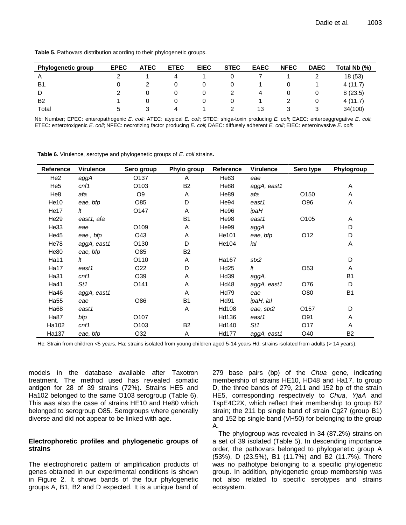| Table 5. Pathovars distribution acording to their phylogenetic groups. |  |  |  |  |
|------------------------------------------------------------------------|--|--|--|--|
|------------------------------------------------------------------------|--|--|--|--|

| <b>Phylogenetic group</b> | <b>EPEC</b> | <b>ATEC</b> | <b>ETEC</b> | <b>EIEC</b> | <b>STEC</b> | <b>EAEC</b> | <b>NFEC</b> | <b>DAEC</b> | Total Nb (%) |
|---------------------------|-------------|-------------|-------------|-------------|-------------|-------------|-------------|-------------|--------------|
| А                         |             |             |             |             |             |             |             |             | 18(53)       |
| B1.                       | 0           |             |             |             |             |             | U           |             | 4(11.7)      |
| D                         |             | 0           |             |             |             | 4           |             |             | 8(23.5)      |
| B <sub>2</sub>            |             | 0           |             |             |             |             | ∠           |             | 4(11.7)      |
| Total                     | b           |             | $\Delta$    |             |             | 13          | 3           |             | 34(100)      |

Nb: Number; EPEC: enteropathogenic *E. coli*; ATEC: atypical *E. coli*; STEC: shiga-toxin producing *E. coli*; EAEC: enteroaggregative *E. coli*; ETEC: enterotoxigenic *E. coli*; NFEC: necrotizing factor producing *E. coli*; DAEC: diffusely adherent *E. coli*; EIEC: enteroinvasive *E. coli*:

**Table 6.** Virulence, serotype and phylogenetic groups of *E. coli* strains**.**

| <b>Reference</b> | <b>Virulence</b> | Sero group       | Phylo group    | Reference        | <b>Virulence</b> | Sero type        | Phylogroup     |
|------------------|------------------|------------------|----------------|------------------|------------------|------------------|----------------|
| He <sub>2</sub>  | aggA             | O <sub>137</sub> | A              | He83             | eae              |                  |                |
| He <sub>5</sub>  | cnf1             | O <sub>103</sub> | B <sub>2</sub> | He88             | aggA, east1      |                  | Α              |
| He <sub>8</sub>  | afa              | O <sub>9</sub>   | A              | He89             | afa              | O150             | Α              |
| He10             | eae, bfp         | O85              | D              | He94             | east1            | O96              | Α              |
| He <sub>17</sub> | It               | O <sub>147</sub> | Α              | He96             | ipaH             |                  |                |
| He <sub>29</sub> | east1, afa       |                  | B <sub>1</sub> | He98             | east1            | O105             | Α              |
| He33             | eae              | O109             | Α              | He99             | aggA             |                  | D              |
| He45             | eae, bfp         | O43              | A              | He101            | eae, bfp         | O12              | D              |
| He78             | aggA, east1      | O <sub>130</sub> | D              | He104            | ial              |                  | Α              |
| He80             | eae, bfp         | O85              | B <sub>2</sub> |                  |                  |                  |                |
| Ha11             | It               | O110             | A              | Ha167            | stx2             |                  | D              |
| Ha17             | east1            | O <sub>22</sub>  | D              | Hd <sub>25</sub> | It               | O <sub>53</sub>  | Α              |
| Ha31             | cnf1             | O39              | Α              | Hd39             | aggA,            |                  | <b>B1</b>      |
| Ha41             | St1              | O141             | Α              | <b>Hd48</b>      | aggA, east1      | O76              | D              |
| Ha46             | aggA, east1      |                  | A              | <b>Hd79</b>      | eae              | O80              | B <sub>1</sub> |
| Ha <sub>55</sub> | eae              | O86              | <b>B1</b>      | Hd91             | ipaH, ial        |                  |                |
| Ha68             | east1            |                  | A              | Hd108            | eae, stx2        | O <sub>157</sub> | D              |
| Ha87             | bfp              | O107             |                | Hd136            | east1            | O91              | Α              |
| Ha102            | cnf1             | O <sub>103</sub> | B <sub>2</sub> | Hd140            | St1              | O <sub>17</sub>  | Α              |
| Ha137            | eae, bfp         | O32              | Α              | Hd177            | aggA, east1      | O40              | B <sub>2</sub> |

He: Strain from children <5 years, Ha: strains isolated from young children aged 5-14 years Hd: strains isolated from adults (> 14 years).

models in the database available after Taxotron treatment. The method used has revealed somatic antigen for 28 of 39 strains (72%). Strains HE5 and Ha102 belonged to the same O103 serogroup (Table 6). This was also the case of strains HE10 and He80 which belonged to serogroup O85. Serogroups where generally diverse and did not appear to be linked with age.

#### **Electrophoretic profiles and phylogenetic groups of strains**

The electrophoretic pattern of amplification products of genes obtained in our experimental conditions is shown in Figure 2. It shows bands of the four phylogenetic groups A, B1, B2 and D expected. It is a unique band of 279 base pairs (bp) of the *Chua* gene, indicating membership of strains HE10, HD48 and Ha17, to group D, the three bands of 279, 211 and 152 bp of the strain HE5, corresponding respectively to *Chua*, *YjaA* and TspE4C2X, which reflect their membership to group B2 strain; the 211 bp single band of strain Cg27 (group B1) and 152 bp single band (VH50) for belonging to the group A.

The phylogroup was revealed in 34 (87.2%) strains on a set of 39 isolated (Table 5). In descending importance order, the pathovars belonged to phylogenetic group A (53%), D (23.5%), B1 (11.7%) and B2 (11.7%). There was no pathotype belonging to a specific phylogenetic group. In addition, phylogenetic group membership was not also related to specific serotypes and strains ecosystem.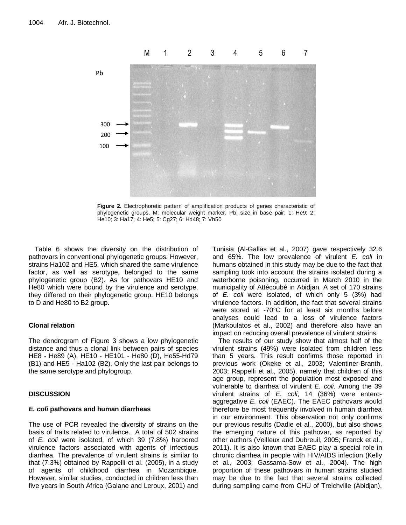

**Figure 2.** Electrophoretic pattern of amplification products of genes characteristic of phylogenetic groups. M: molecular weight marker, Pb: size in base pair; 1: He9; 2: He10; 3: Ha17; 4: He5; 5: Cg27; 6: Hd48; 7: Vh50

Table 6 shows the diversity on the distribution of pathovars in conventional phylogenetic groups. However, strains Ha102 and HE5, which shared the same virulence factor, as well as serotype, belonged to the same phylogenetic group (B2). As for pathovars HE10 and He80 which were bound by the virulence and serotype, they differed on their phylogenetic group. HE10 belongs to D and He80 to B2 group.

# **Clonal relation**

The dendrogram of Figure 3 shows a low phylogenetic distance and thus a clonal link between pairs of species HE8 - He89 (A), HE10 - HE101 - He80 (D), He55-Hd79 (B1) and HE5 - Ha102 (B2). Only the last pair belongs to the same serotype and phylogroup.

# **DISCUSSION**

# *E. coli* **pathovars and human diarrheas**

The use of PCR revealed the diversity of strains on the basis of traits related to virulence. A total of 502 strains of *E. coli* were isolated, of which 39 (7.8%) harbored virulence factors associated with agents of infectious diarrhea. The prevalence of virulent strains is similar to that (7.3%) obtained by Rappelli et al. (2005), in a study of agents of childhood diarrhea in Mozambique. However, similar studies, conducted in children less than five years in South Africa (Galane and Leroux, 2001) and Tunisia (Al-Gallas et al., 2007) gave respectively 32.6 and 65%. The low prevalence of virulent *E. coli* in humans obtained in this study may be due to the fact that sampling took into account the strains isolated during a waterborne poisoning, occurred in March 2010 in the municipality of Attécoubé in Abidjan. A set of 170 strains of *E. coli* were isolated, of which only 5 (3%) had virulence factors. In addition, the fact that several strains were stored at -70°C for at least six months before analyses could lead to a loss of virulence factors (Markoulatos et al., 2002) and therefore also have an impact on reducing overall prevalence of virulent strains.

The results of our study show that almost half of the virulent strains (49%) were isolated from children less than 5 years. This result confirms those reported in previous work (Okeke et al., 2003; Valentiner-Branth, 2003; Rappelli et al., 2005), namely that children of this age group, represent the population most exposed and vulnerable to diarrhea of virulent *E. coli*. Among the 39 virulent strains of *E. coli*, 14 (36%) were enteroaggregative *E. coli* (EAEC). The EAEC pathovars would therefore be most frequently involved in human diarrhea in our environment. This observation not only confirms our previous results (Dadie et al., 2000), but also shows the emerging nature of this pathovar, as reported by other authors (Veilleux and Dubreuil, 2005; Franck et al., 2011). It is also known that EAEC play a special role in chronic diarrhea in people with HIV/AIDS infection (Kelly et al*.*, 2003; Gassama-Sow et al., 2004). The high proportion of these pathovars in human strains studied may be due to the fact that several strains collected during sampling came from CHU of Treichville (Abidjan),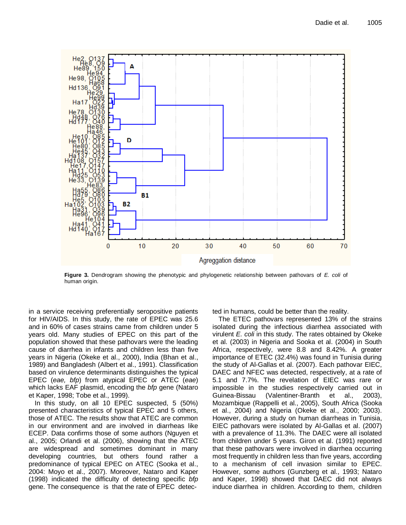

**Figure 3.** Dendrogram showing the phenotypic and phylogenetic relationship between pathovars of *E. coli* of human origin.

in a service receiving preferentially seropositive patients for HIV/AIDS. In this study, the rate of EPEC was 25.6 and in 60% of cases strains came from children under 5 years old. Many studies of EPEC on this part of the population showed that these pathovars were the leading cause of diarrhea in infants and children less than five years in Nigeria (Okeke et al., 2000), India (Bhan et al., 1989) and Bangladesh (Albert et al., 1991). Classification based on virulence determinants distinguishes the typical EPEC (*eae, bfp*) from atypical EPEC or ATEC (*eae*) which lacks EAF plasmid, encoding the *bfp* gene (Nataro et Kaper, 1998; Tobe et al., 1999).

In this study, on all 10 EPEC suspected, 5 (50%) presented characteristics of typical EPEC and 5 others, those of ATEC. The results show that ATEC are common in our environment and are involved in diarrheas like ECEP. Data confirms those of some authors (Nguyen et al., 2005; Orlandi et al. (2006), showing that the ATEC are widespread and sometimes dominant in many developing countries, but others found rather a predominance of typical EPEC on ATEC (Sooka et al., 2004: Moyo et al., 2007). Moreover, Nataro and Kaper (1998) indicated the difficulty of detecting specific *bfp* gene. The consequence is that the rate of EPEC detected in humans, could be better than the reality.

The ETEC pathovars represented 13% of the strains isolated during the infectious diarrhea associated with virulent *E. coli* in this study. The rates obtained by Okeke et al. (2003) in Nigeria and Sooka et al. (2004) in South Africa, respectively, were 8.8 and 8.42%. A greater importance of ETEC (32.4%) was found in Tunisia during the study of Al-Gallas et al. (2007). Each pathovar EIEC, DAEC and NFEC was detected, respectively, at a rate of 5.1 and 7.7%. The revelation of EIEC was rare or impossible in the studies respectively carried out in Guinea-Bissau (Valentiner-Branth et al., 2003), Mozambique (Rappelli et al., 2005), South Africa (Sooka et al., 2004) and Nigeria (Okeke et al., 2000; 2003). However, during a study on human diarrheas in Tunisia, EIEC pathovars were isolated by Al-Gallas et al. (2007) with a prevalence of 11.3%. The DAEC were all isolated from children under 5 years. Giron et al. (1991) reported that these pathovars were involved in diarrhea occurring most frequently in children less than five years, according to a mechanism of cell invasion similar to EPEC. However, some authors (Gunzberg et al., 1993; Nataro and Kaper, 1998) showed that DAEC did not always induce diarrhea in children. According to them, children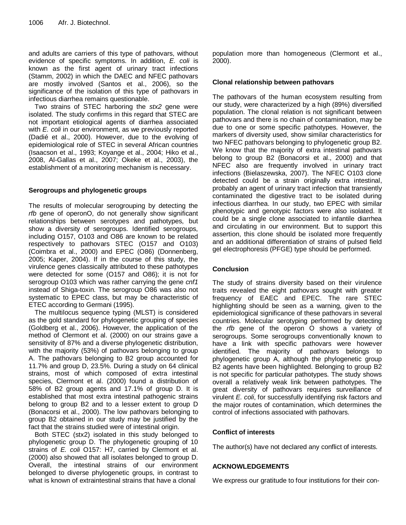and adults are carriers of this type of pathovars, without evidence of specific symptoms. In addition, *E. coli* is known as the first agent of urinary tract infections (Stamm, 2002) in which the DAEC and NFEC pathovars are mostly involved (Santos et al., 2006), so the significance of the isolation of this type of pathovars in infectious diarrhea remains questionable.

Two strains of STEC harboring the *stx2* gene were isolated. The study confirms in this regard that STEC are not important etiological agents of diarrhea associated with *E. coli* in our environment, as we previously reported (Dadié et al., 2000). However, due to the evolving of epidemiological role of STEC in several African countries (Isaacson et al., 1993; Koyange et al., 2004; Hiko et al., 2008, Al-Gallas et al., 2007; Okeke et al., 2003), the establishment of a monitoring mechanism is necessary.

# **Serogroups and phylogenetic groups**

The results of molecular serogrouping by detecting the *rfb* gene of operonO, do not generally show significant relationships between serotypes and pathotypes, but show a diversity of serogroups. Identified serogroups, including O157, O103 and O86 are known to be related respectively to pathovars STEC (O157 and O103) (Coimbra et al., 2000) and EPEC (O86) (Donnenberg, 2005; Kaper, 2004). If in the course of this study, the virulence genes classically attributed to these pathotypes were detected for some (O157 and O86); it is not for serogroup O103 which was rather carrying the gene *cnf1* instead of Shiga-toxin. The serogroup O86 was also not systematic to EPEC class, but may be characteristic of ETEC according to Germani (1995).

The multilocus sequence typing (MLST) is considered as the gold standard for phylogenetic grouping of species (Goldberg et al., 2006). However, the application of the method of Clermont et al. (2000) on our strains gave a sensitivity of 87% and a diverse phylogenetic distribution, with the majority (53%) of pathovars belonging to group A. The pathovars belonging to B2 group accounted for 11.7% and group D, 23.5%. During a study on 64 clinical strains, most of which composed of extra intestinal species, Clermont et al. (2000) found a distribution of 58% of B2 group agents and 17.1% of group D. It is established that most extra intestinal pathogenic strains belong to group B2 and to a lesser extent to group D (Bonacorsi et al., 2000). The low pathovars belonging to group B2 obtained in our study may be justified by the fact that the strains studied were of intestinal origin.

Both STEC (stx2) isolated in this study belonged to phylogenetic group D. The phylogenetic grouping of 10 strains of *E. coli* O157: H7, carried by Clermont et al. (2000) also showed that all isolates belonged to group D. Overall, the intestinal strains of our environment belonged to diverse phylogenetic groups, in contrast to what is known of extraintestinal strains that have a clonal

population more than homogeneous (Clermont et al., 2000).

# **Clonal relationship between pathovars**

The pathovars of the human ecosystem resulting from our study, were characterized by a high (89%) diversified population. The clonal relation is not significant between pathovars and there is no chain of contamination, may be due to one or some specific pathotypes. However, the markers of diversity used, show similar characteristics for two NFEC pathovars belonging to phylogenetic group B2. We know that the majority of extra intestinal pathovars belong to group B2 (Bonacorsi et al., 2000) and that NFEC also are frequently involved in urinary tract infections (Bielaszewska, 2007). The NFEC O103 clone detected could be a strain originally extra intestinal, probably an agent of urinary tract infection that transiently contaminated the digestive tract to be isolated during infectious diarrhea. In our study, two EPEC with similar phenotypic and genotypic factors were also isolated. It could be a single clone associated to infantile diarrhea and circulating in our environment. But to support this assertion, this clone should be isolated more frequently and an additional differentiation of strains of pulsed field gel electrophoresis (PFGE) type should be performed.

# **Conclusion**

The study of strains diversity based on their virulence traits revealed the eight pathovars sought with greater frequency of EAEC and EPEC. The rare STEC highlighting should be seen as a warning, given to the epidemiological significance of these pathovars in several countries. Molecular serotyping performed by detecting the *rfb* gene of the operon O shows a variety of serogroups. Some serogroups conventionally known to have a link with specific pathovars were however identified. The majority of pathovars belongs to phylogenetic group A, although the phylogenetic group B2 agents have been highlighted. Belonging to group B2 is not specific for particular pathotypes. The study shows overall a relatively weak link between pathotypes. The great diversity of pathovars requires surveillance of virulent *E. coli*, for successfully identifying risk factors and the major routes of contamination, which determines the control of infections associated with pathovars.

# **Conflict of interests**

The author(s) have not declared any conflict of interests.

# **ACKNOWLEDGEMENTS**

We express our gratitude to four institutions for their con-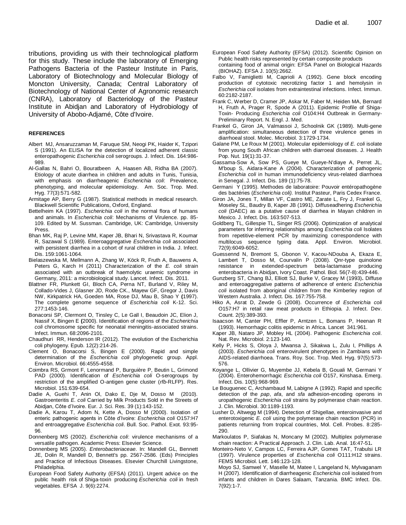tributions, providing us with their technological platform for this study. These include the laboratory of Emerging Pathogens Bacteria of the Pasteur Institute in Paris, Laboratory of Biotechnology and Molecular Biology of Moncton University, Canada; Central Laboratory of Biotechnology of National Center of Agronomic research (CNRA), Laboratory of Bacteriology of the Pasteur Institute in Abidjan and Laboratory of Hydrobiology of University of Abobo-Adjamé, Côte d'Ivoire.

#### **REFERENCES**

- Albert MJ, Ansaruzzaman M, Faruque SM, Neogi PK, Haider K, Tzipori S (1991). An ELISA for the detection of localized adherent classic enteropathogenic *Escherichia coli* serogroups. J. Infect. Dis. 164:986- 989.
- Al-Gallas N, Bahri O, Bouratbeen A, Haasen AB, Ridha BA (2007). Etiology of acute diarrhea in children and adults in Tunis, Tunisia, with emphasis on diarrheagenic *Escherichia coli*: Prevalence, phenotyping, and molecular epidemiology. Am. Soc. Trop. Med. Hyg. 77(3):571-582.
- Armitage AP, Berry G (1987). Statistical methods in medical research. Blackwell Scientific Publications, Oxford, England.
- Bettelheim KA (1997). *Escherichia coli* in the normal flora of humans and animals. In *Escherichia coli*: Mechanisms of Virulence. pp. 85- 109. Edited by M. Sussman. Cambridge, UK: Cambridge, University Press.
- Bhan MK, Raj P, Levine MM, Kaper JB, Bhari N, Srivastava R, Koumar R, Sazawal S (1989). Enteroaggregative *Escherichia coli* associated with persistent diarrhea in a cohort of rural children in India. J. Infect. Dis. 159:1061-1064.
- Bielaszewska M, Mellmann A, Zhang W, Köck R, Fruth A, Bauwens A, Peters G, Karch H (2011) Characterization of the *E. coli* strain associated with an outbreak of haemolytic uraemic syndrome in Germany, 2011: a microbiological study. Lancet. Infect. Dis. 2011.
- Blattner FR, Plunkett GI, Bloch CA, Perna NT, Burland V, Riley M, Collado-Vides J, Glasner JD, Rode CK., Mayew GF, Gregor J, Davis NW, Kirkpatrick HA, Goeden MA, Rose DJ, Mau B, Shao Y **(**1997). The complete genome sequence of *Escherichia coli* K-12. Sci. 277:1453-146.
- Bonacorsi SP, Clermont O, Tinsley C, Le Gall I, Beaudoin JC, Elion J, Nassif X, Bingen E **(**2000). Identification of regions of the *Escherichia coli* chromosome specific for neonatal meningitis-associated strains. Infect. Immun. 68:2096-2101.
- Chaudhuri RR, Henderson IR (2012). The evolution of the Escherichia coli phylogeny. Epub. 12(2):214-26.
- Clement O, Bonacorsi S, Bingen E (2000). Rapid and simple determination of the *Escherichia coli* phylogenetic group. Appl. Environ. Microbiol. 66:4555-4558.
- Coimbra RS, Grmont F, Lenormand P, Burguière P, Beutin L, Grimond PAD (2000). Identification of *Escherichia coli* O-serogroups by restriction of the amplified O-antigen gene cluster (*rfb*-RLFP). Res. Microbiol. 151:639-654.
- Dadie A, Guehi T, Anin Ol, Dako E, Dje M, Dosso M (2010). Gastroenteritis *E. coli* Carried by Milk Products Sold in the Streets of Abidjan, Côte d'Ivoire. Eur. J. Sci. Res. 39 (1):143-152.
- Dadie A, Karou T, Adom N, Kette A, Dosso M (2000). Isolation of enteric pathogenic agents in Côte d'Ivoire: *Escherichia coli* O157:H7 and entroaggregative *Escherichia coli*. Bull. Soc. Pathol. Exot. 93:95- 96.
- Donnenberg MS (2002). *Escherichia coli*: virulence mechanisms of a versatile pathogen. Academic Press: Elsevier Science.
- Donnenberg MS (2005). *Enterobacteriaceae*. In: Mandell GL, Bennett JE, Dolin R, Mandell D, Bennett's pp. 2567-2586. (Eds) Principles and Practice of Infectious Diseases. Elsevier Churchill Livingstone, Philadelphia.
- European Food Safety Authority (EFSA) (2011). Urgent advice on the public health risk of Shiga-toxin producing *Escherichia coli* in fresh vegetables. EFSA J. 9(6):2274.
- European Food Safety Authority (EFSA) (2012). Scientific Opinion on Public health risks represented by certain composite products containing food of animal origin: EFSA Panel on Biological Hazards
- (BIOHAZ). EFSA J. 10(5):2662. Falbo V, Famiglietti M, Caprioli A (1992). Gene block encoding production of cytotoxic necrotizing factor 1 and hemolysin in *Escherichia coli* isolates from extraintestinal infections. Infect. Immun. 60:2182-2187.
- Frank C, Werber D, Cramer JP, Askar M, Faber M, Heiden MA, Bernard H, Fruth A, Prager R, Spode A (2011). Epidemic Profile of Shiga-Toxin- Producing *Escherichia coli* O104:H4 Outbreak in Germany-Preliminary Report. N. Engl. J. Med.
- Frankel G, Giron JA, Valmassoi J, Schoolnik GK (1989). Multi-gene amplification: simultaneous detection of three virulence genes in diarrhoeal stool. Molec. Microbiol. 3:1729-1734.
- Galane PM, Le Roux M (2001). Molecular epidemiology of *E. coli* isolate from young South African children with diarroeal diseases. J. Health Pop. Nut. 19(1):31-37.
- Gassama-Sow A, Sow PS, Gueye M, Gueye-N'diaye A, Perret JL, M'boup S, Aidara-Kane A (2004). Characterization of pathogenic *Escherichia coli* in human immunodeficiency virus-related diarrhoea in Senegal. J. Infect. Dis. 189 (1):75-78.
- Germani Y (1995). Methodes de laboratoire: Pouvoir entéropathogène des bactéries (*Escherichia coli).* Institut Pasteur, Paris Cedex France.
- Giron JA, Jones T, Millan VF, Castro ME, Zarate L, Fry J, Frankel G, Moseley SL, Baudry B, Kaper JB (1991). Diffuseadhering *Escherichia coli* (DAEC) as a putative cause of diarrhea in Mayan children in Mexico. J. Infect. Dis. 163:507-513.
- Goldberg TL, Gillespie TL, Singer RS (2006). Optimization of analytical parameters for inferring relationships among *Escherichia coli* Isolates from repetitive-element PCR by maximizing correspondence with multilocus sequence typing data. Appl. Environ. Microbiol. 72(9):6049-6052.
- Guessennd N, Bremont S, Gbonon V, Kacou-NDouba A, Ekaza E, Lambert T, Dosso M, Courvalin P (2008). Qnr-type quinolone resistance in extended-spectrum beta-lactamase producing enterobacteria in Abidjan, Ivory Coast. Pathol. Biol. 56(7-8):439-446.
- Gunzberg ST, Chang BJ, Elliott SJ, Burke V, Gracey M (1993)**.** Diffuse and enteroaggregative patterns of adherence of enteric *Escherichia* coli isolated from aboriginal children from the Kimberley region of Western Australia. J. Infect. Dis. 167:755-758.
- Hiko A, Asrat D, Zewde G (2008). Occurrence of *Escherichia coli*  O157:H7 in retail raw meat products in Ethiopia. J. Infect. Dev. Count. 2(5):389-393.
- Isaacson M, Canter PH, Effler P, Arntzen L, Bomans P, Heenan R (1993). Hemorrhagic colitis epidemic in Africa. Lancet 341:961.
- Kaper JB, Nataro JP, Mobley HL (2004). Pathogenic *Escherichia coli*. Nat. Rev. Microbiol. 2:123-140.
- Kelly P, Hicks S, Oloya J, Mwansa J, Sikakwa L, Zulu I, Phillips A (2003). *Escherichia coli* enterovirulent phenotypes in Zambians with AIDS-related diarrhoea. Trans. Roy. Soc. Trop. Med. Hyg. 97(5):573- 576.
- Koyange L, Ollivier G, Muyembe JJ, Kebela B, Gouali M, Germani Y (2004). Enterohemorrhagic *Escherichia coli* O157, Kinshasa. Emerg. Infect. Dis. 10(5):968-969.
- Le Bouguenec C, Archambaud M, Labigne A (1992). Rapid and specific detection of the *pap*, *afa*, and *sfa* adhesion-encoding operons in uropathogenic *Escherichia coli* strains by polymerase chain reaction. J. Clin. Microbiol. 30:1189-1193.
- Lusher D, Altwegg M (1994). Detection of Shigellae, enteroinvasive and enterotoxigenic *E. coli* using the polymerase chain reaction (PCR) in patients returning from tropical countries, Mol. Cell. Probes. 8:285- 290.
- Markoulatos P, Siafakas N, Moncany M (2002). Multiplex polymerase chain reaction: A Practical Approach. J. Clin. Lab. Anal. 16:47-51**.**
- Monteiro-Neto V, Campos LC, Ferreira AJP, Gomes TAT, Trabulsi LR (1997). Virulence properties of *Escherichia coli* O111:H12 strains. FEMS Microbiol. Lett. 146:123-128.
- Moyo SJ, Samwel Y, Maselle M, Matee I, Langeland N, Mylvaganam H (2007). Identification of diarrheagenic *Escherichia coli* isolated from infants and children in Dares Salaam, Tanzania. BMC Infect. Dis. 7(92):1-7.